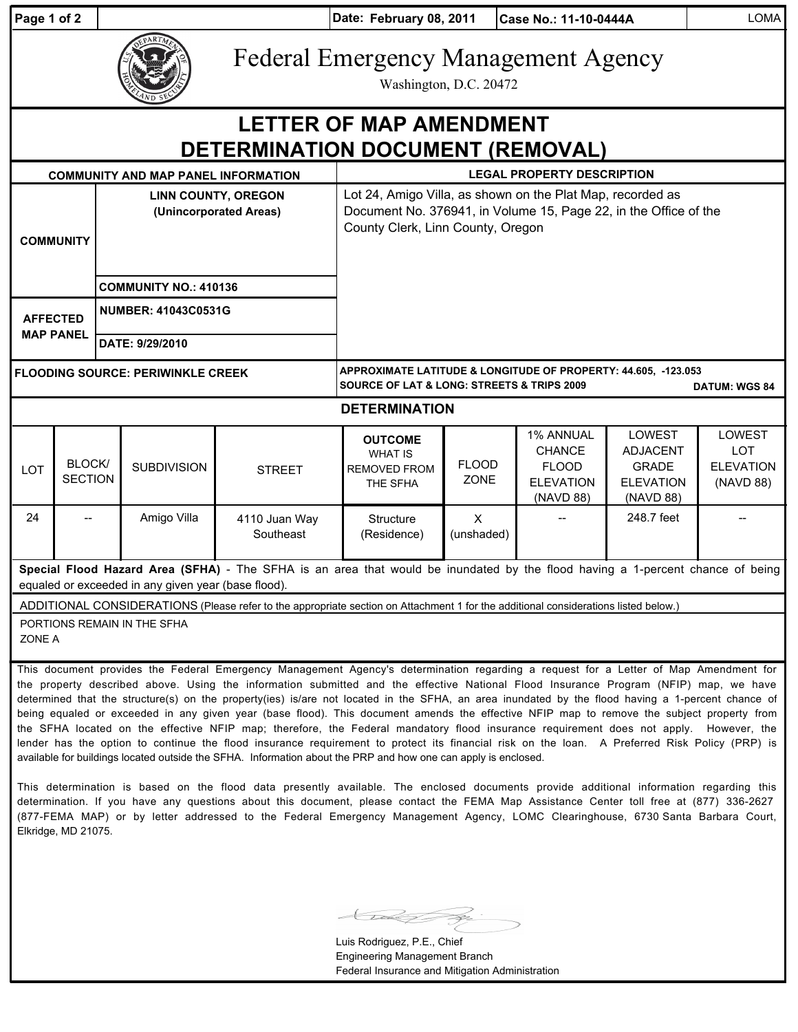| Page 1 of 2                                                                                                                                                                           |                                                                                                                                                                                                                                                                                                                                                                                                                                                                                                                                                                                | Date: February 08, 2011<br>Case No.: 11-10-0444A                     |                                            |                            |                                                                                                                                                                     |                             |                                                                             |                                                                            | <b>LOMA</b>                                           |  |
|---------------------------------------------------------------------------------------------------------------------------------------------------------------------------------------|--------------------------------------------------------------------------------------------------------------------------------------------------------------------------------------------------------------------------------------------------------------------------------------------------------------------------------------------------------------------------------------------------------------------------------------------------------------------------------------------------------------------------------------------------------------------------------|----------------------------------------------------------------------|--------------------------------------------|----------------------------|---------------------------------------------------------------------------------------------------------------------------------------------------------------------|-----------------------------|-----------------------------------------------------------------------------|----------------------------------------------------------------------------|-------------------------------------------------------|--|
|                                                                                                                                                                                       |                                                                                                                                                                                                                                                                                                                                                                                                                                                                                                                                                                                | <b>Federal Emergency Management Agency</b><br>Washington, D.C. 20472 |                                            |                            |                                                                                                                                                                     |                             |                                                                             |                                                                            |                                                       |  |
| <b>LETTER OF MAP AMENDMENT</b><br>DETERMINATION DOCUMENT (REMOVAL)                                                                                                                    |                                                                                                                                                                                                                                                                                                                                                                                                                                                                                                                                                                                |                                                                      |                                            |                            |                                                                                                                                                                     |                             |                                                                             |                                                                            |                                                       |  |
|                                                                                                                                                                                       |                                                                                                                                                                                                                                                                                                                                                                                                                                                                                                                                                                                |                                                                      | <b>COMMUNITY AND MAP PANEL INFORMATION</b> |                            | <b>LEGAL PROPERTY DESCRIPTION</b>                                                                                                                                   |                             |                                                                             |                                                                            |                                                       |  |
| <b>COMMUNITY</b>                                                                                                                                                                      |                                                                                                                                                                                                                                                                                                                                                                                                                                                                                                                                                                                | <b>LINN COUNTY, OREGON</b><br>(Unincorporated Areas)                 |                                            |                            | Lot 24, Amigo Villa, as shown on the Plat Map, recorded as<br>Document No. 376941, in Volume 15, Page 22, in the Office of the<br>County Clerk, Linn County, Oregon |                             |                                                                             |                                                                            |                                                       |  |
|                                                                                                                                                                                       |                                                                                                                                                                                                                                                                                                                                                                                                                                                                                                                                                                                | <b>COMMUNITY NO.: 410136</b>                                         |                                            |                            |                                                                                                                                                                     |                             |                                                                             |                                                                            |                                                       |  |
| <b>AFFECTED</b><br><b>MAP PANEL</b>                                                                                                                                                   |                                                                                                                                                                                                                                                                                                                                                                                                                                                                                                                                                                                | <b>NUMBER: 41043C0531G</b>                                           |                                            |                            |                                                                                                                                                                     |                             |                                                                             |                                                                            |                                                       |  |
|                                                                                                                                                                                       |                                                                                                                                                                                                                                                                                                                                                                                                                                                                                                                                                                                | DATE: 9/29/2010                                                      |                                            |                            |                                                                                                                                                                     |                             |                                                                             |                                                                            |                                                       |  |
| <b>FLOODING SOURCE: PERIWINKLE CREEK</b>                                                                                                                                              |                                                                                                                                                                                                                                                                                                                                                                                                                                                                                                                                                                                |                                                                      |                                            |                            | APPROXIMATE LATITUDE & LONGITUDE OF PROPERTY: 44.605, -123.053<br><b>SOURCE OF LAT &amp; LONG: STREETS &amp; TRIPS 2009</b><br><b>DATUM: WGS 84</b>                 |                             |                                                                             |                                                                            |                                                       |  |
| <b>DETERMINATION</b>                                                                                                                                                                  |                                                                                                                                                                                                                                                                                                                                                                                                                                                                                                                                                                                |                                                                      |                                            |                            |                                                                                                                                                                     |                             |                                                                             |                                                                            |                                                       |  |
| LOT                                                                                                                                                                                   | BLOCK/<br><b>SECTION</b>                                                                                                                                                                                                                                                                                                                                                                                                                                                                                                                                                       |                                                                      | <b>SUBDIVISION</b>                         | <b>STREET</b>              | <b>OUTCOME</b><br><b>WHAT IS</b><br><b>REMOVED FROM</b><br>THE SFHA                                                                                                 | <b>FLOOD</b><br><b>ZONE</b> | 1% ANNUAL<br><b>CHANCE</b><br><b>FLOOD</b><br><b>ELEVATION</b><br>(NAVD 88) | LOWEST<br><b>ADJACENT</b><br><b>GRADE</b><br><b>ELEVATION</b><br>(NAVD 88) | LOWEST<br><b>LOT</b><br><b>ELEVATION</b><br>(NAVD 88) |  |
| 24                                                                                                                                                                                    |                                                                                                                                                                                                                                                                                                                                                                                                                                                                                                                                                                                |                                                                      | Amigo Villa                                | 4110 Juan Way<br>Southeast | Structure<br>(Residence)                                                                                                                                            | $\sf X$<br>(unshaded)       |                                                                             | 248.7 feet                                                                 |                                                       |  |
| Special Flood Hazard Area (SFHA) - The SFHA is an area that would be inundated by the flood having a 1-percent chance of being<br>equaled or exceeded in any given year (base flood). |                                                                                                                                                                                                                                                                                                                                                                                                                                                                                                                                                                                |                                                                      |                                            |                            |                                                                                                                                                                     |                             |                                                                             |                                                                            |                                                       |  |
| ADDITIONAL CONSIDERATIONS (Please refer to the appropriate section on Attachment 1 for the additional considerations listed below.)                                                   |                                                                                                                                                                                                                                                                                                                                                                                                                                                                                                                                                                                |                                                                      |                                            |                            |                                                                                                                                                                     |                             |                                                                             |                                                                            |                                                       |  |
| PORTIONS REMAIN IN THE SFHA<br>ZONE A                                                                                                                                                 |                                                                                                                                                                                                                                                                                                                                                                                                                                                                                                                                                                                |                                                                      |                                            |                            |                                                                                                                                                                     |                             |                                                                             |                                                                            |                                                       |  |
|                                                                                                                                                                                       | This document provides the Federal Emergency Management Agency's determination regarding a request for a Letter of Map Amendment for<br>the property described above. Using the information submitted and the effective National Flood Insurance Program (NFIP) map, we have<br>determined that the structure(s) on the property(ies) is/are not located in the SFHA, an area inundated by the flood having a 1-percent chance of<br>being equaled or exceeded in any given year (base flood). This document amends the effective NFIP map to remove the subject property from |                                                                      |                                            |                            |                                                                                                                                                                     |                             |                                                                             |                                                                            |                                                       |  |

being equaled or exceeded in any given year (base flood). This document amends the effective NFIP map to remove the subject property from the SFHA located on the effective NFIP map; therefore, the Federal mandatory flood insurance requirement does not apply. However, the lender has the option to continue the flood insurance requirement to protect its financial risk on the loan. A Preferred Risk Policy (PRP) is available for buildings located outside the SFHA. Information about the PRP and how one can apply is enclosed.

This determination is based on the flood data presently available. The enclosed documents provide additional information regarding this determination. If you have any questions about this document, please contact the FEMA Map Assistance Center toll free at (877) 336-2627 (877-FEMA MAP) or by letter addressed to the Federal Emergency Management Agency, LOMC Clearinghouse, 6730 Santa Barbara Court, Elkridge, MD 21075.

Luis Rodriguez, P.E., Chief Engineering Management Branch Federal Insurance and Mitigation Administration